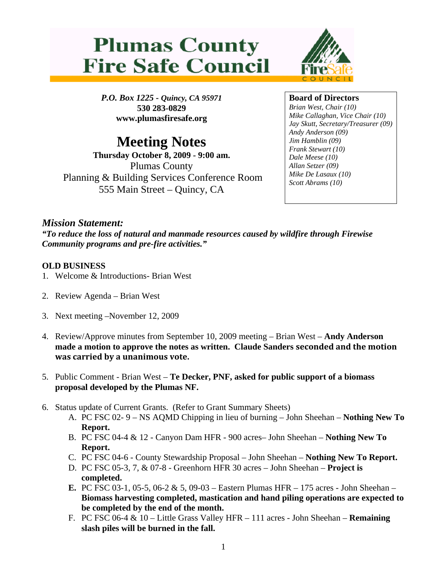



*P.O. Box 1225 - Quincy, CA 95971*  **530 283-0829 www.plumasfiresafe.org** 

## **Meeting Notes**

**Thursday October 8, 2009 - 9:00 am.**  Plumas County Planning & Building Services Conference Room 555 Main Street – Quincy, CA

## **Board of Directors**

*Brian West, Chair (10) Mike Callaghan, Vice Chair (10) Jay Skutt, Secretary/Treasurer (09) Andy Anderson (09) Jim Hamblin (09) Frank Stewart (10) Dale Meese (10) Allan Setzer (09) Mike De Lasaux (10) Scott Abrams (10)*

## *Mission Statement:*

*"To reduce the loss of natural and manmade resources caused by wildfire through Firewise Community programs and pre-fire activities."* 

## **OLD BUSINESS**

- 1. Welcome & Introductions- Brian West
- 2. Review Agenda Brian West
- 3. Next meeting –November 12, 2009
- 4. Review/Approve minutes from September 10, 2009 meeting Brian West **Andy Anderson made a motion to approve the notes as written. Claude Sanders seconded and the motion was carried by a unanimous vote.**
- 5. Public Comment Brian West **Te Decker, PNF, asked for public support of a biomass proposal developed by the Plumas NF.**
- 6. Status update of Current Grants. (Refer to Grant Summary Sheets)
	- A. PC FSC 02- 9 NS AQMD Chipping in lieu of burning John Sheehan **Nothing New To Report.**
	- B. PC FSC 04-4 & 12 Canyon Dam HFR 900 acres– John Sheehan **Nothing New To Report.**
	- C. PC FSC 04-6 County Stewardship Proposal John Sheehan **Nothing New To Report.**
	- D. PC FSC 05-3, 7, & 07-8 Greenhorn HFR 30 acres John Sheehan **Project is completed.**
	- **E.** PC FSC 03-1, 05-5, 06-2 & 5, 09-03 Eastern Plumas HFR 175 acres John Sheehan **Biomass harvesting completed, mastication and hand piling operations are expected to be completed by the end of the month.**
	- F. PC FSC 06-4 & 10 Little Grass Valley HFR 111 acres John Sheehan **Remaining slash piles will be burned in the fall.**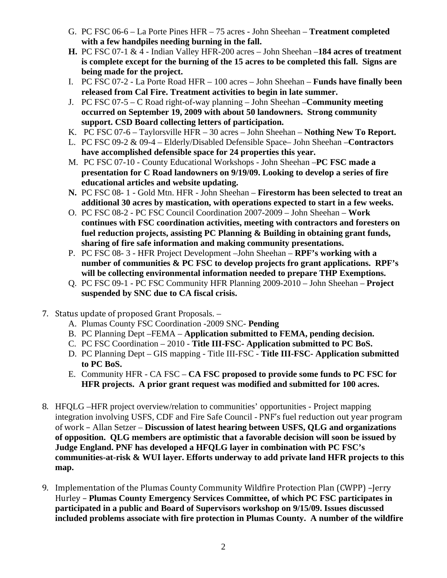- G. PC FSC 06-6 La Porte Pines HFR 75 acres John Sheehan **Treatment completed with a few handpiles needing burning in the fall.**
- **H.** PC FSC 07-1 & 4 Indian Valley HFR-200 acres John Sheehan –**184 acres of treatment is complete except for the burning of the 15 acres to be completed this fall. Signs are being made for the project.**
- I. PC FSC 07-2 La Porte Road HFR 100 acres John Sheehan **Funds have finally been released from Cal Fire. Treatment activities to begin in late summer.**
- J. PC FSC 07-5 C Road right-of-way planning John Sheehan –**Community meeting occurred on September 19, 2009 with about 50 landowners. Strong community support. CSD Board collecting letters of participation.**
- K. PC FSC 07-6 Taylorsville HFR 30 acres John Sheehan – **Nothing New To Report.**
- L. PC FSC 09-2 & 09-4 Elderly/Disabled Defensible Space– John Sheehan –**Contractors have accomplished defensible space for 24 properties this year.**
- M. PC FSC 07-10 County Educational Workshops John Sheehan –**PC FSC made a presentation for C Road landowners on 9/19/09. Looking to develop a series of fire educational articles and website updating.**
- **N.** PC FSC 08- 1 Gold Mtn. HFR John Sheehan **Firestorm has been selected to treat an additional 30 acres by mastication, with operations expected to start in a few weeks.**
- O. PC FSC 08-2 PC FSC Council Coordination 2007-2009 John Sheehan **Work continues with FSC coordination activities, meeting with contractors and foresters on fuel reduction projects, assisting PC Planning & Building in obtaining grant funds, sharing of fire safe information and making community presentations.**
- P. PC FSC 08- 3 HFR Project Development –John Sheehan **RPF's working with a number of communities & PC FSC to develop projects fro grant applications. RPF's will be collecting environmental information needed to prepare THP Exemptions.**
- Q. PC FSC 09-1 PC FSC Community HFR Planning 2009-2010 John Sheehan **Project suspended by SNC due to CA fiscal crisis.**
- 7. Status update of proposed Grant Proposals.
	- A. Plumas County FSC Coordination -2009 SNC- **Pending**
	- B. PC Planning Dept –FEMA **Application submitted to FEMA, pending decision.**
	- C. PC FSC Coordination 2010 **Title III-FSC- Application submitted to PC BoS.**
	- D. PC Planning Dept GIS mapping Title III-FSC **Title III-FSC- Application submitted to PC BoS.**
	- E. Community HFR CA FSC **CA FSC proposed to provide some funds to PC FSC for HFR projects. A prior grant request was modified and submitted for 100 acres.**
- 8. HFQLG –HFR project overview/relation to communities' opportunities Project mapping integration involving USFS, CDF and Fire Safe Council - PNF's fuel reduction out year program of work – Allan Setzer – **Discussion of latest hearing between USFS, QLG and organizations of opposition. QLG members are optimistic that a favorable decision will soon be issued by Judge England. PNF has developed a HFQLG layer in combination with PC FSC's communities-at-risk & WUI layer. Efforts underway to add private land HFR projects to this map.**
- 9. Implementation of the Plumas County Community Wildfire Protection Plan (CWPP) –Jerry Hurley – **Plumas County Emergency Services Committee, of which PC FSC participates in participated in a public and Board of Supervisors workshop on 9/15/09. Issues discussed included problems associate with fire protection in Plumas County. A number of the wildfire**